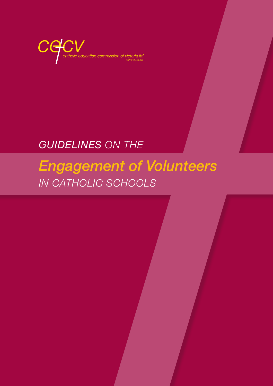

## *GUIDELINES ON THE*

# *Engagement of Volunteers IN CATHOLIC SCHOOLS*

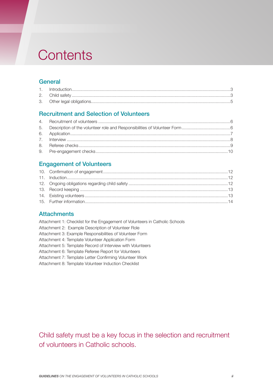## **Contents**

## **General**

## Recruitment and Selection of Volunteers

## Engagement of Volunteers

## **Attachments**

| Attachment 1: Checklist for the Engagement of Volunteers in Catholic Schools |
|------------------------------------------------------------------------------|
| Attachment 2: Example Description of Volunteer Role                          |
| Attachment 3: Example Responsibilities of Volunteer Form                     |
| Attachment 4: Template Volunteer Application Form                            |
| Attachment 5: Template Record of Interview with Volunteers                   |
| Attachment 6: Template Referee Report for Volunteers                         |
| Attachment 7: Template Letter Confirming Volunteer Work                      |
| Attachment 8: Template Volunteer Induction Checklist                         |
|                                                                              |

Child safety must be a key focus in the selection and recruitment of volunteers in Catholic schools.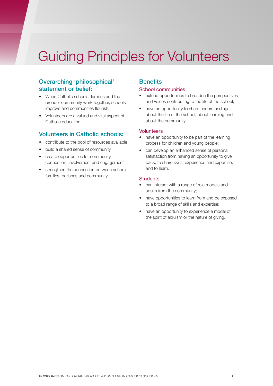# Guiding Principles for Volunteers

## Overarching 'philosophical' statement or belief:

- When Catholic schools, families and the broader community work together, schools improve and communities flourish.
- Volunteers are a valued and vital aspect of Catholic education.

### Volunteers in Catholic schools:

- contribute to the pool of resources available
- build a shared sense of community
- create opportunities for community connection, involvement and engagement
- strengthen the connection between schools, families, parishes and community.

### **Benefits**

#### School communities

- extend opportunities to broaden the perspectives and voices contributing to the life of the school;
- have an opportunity to share understandings about the life of the school, about learning and about the community.

#### **Volunteers**

- have an opportunity to be part of the learning process for children and young people;
- can develop an enhanced sense of personal satisfaction from having an opportunity to give back, to share skills, experience and expertise, and to learn.

#### **Students**

- can interact with a range of role models and adults from the community;
- have opportunities to learn from and be exposed to a broad range of skills and expertise;
- have an opportunity to experience a model of the spirit of altruism or the nature of giving.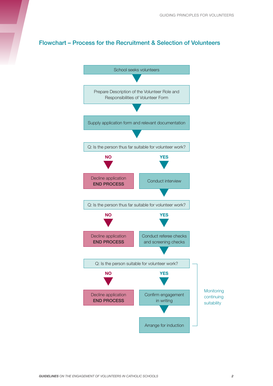## Flowchart – Process for the Recruitment & Selection of Volunteers

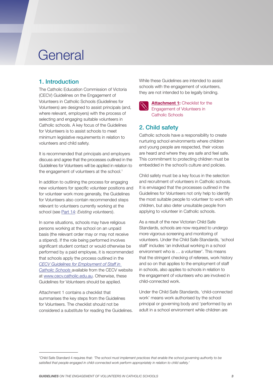## **General**

## 1. Introduction

The Catholic Education Commission of Victoria (CECV) Guidelines on the Engagement of Volunteers in Catholic Schools (Guidelines for Volunteers) are designed to assist principals (and, where relevant, employers) with the process of selecting and engaging suitable volunteers in Catholic schools. A key focus of the Guidelines for Volunteers is to assist schools to meet minimum legislative requirements in relation to volunteers and child safety.

It is recommended that principals and employers discuss and agree that the processes outlined in the Guidelines for Volunteers will be applied in relation to the engagement of volunteers at the school.<sup>1</sup>

In addition to outlining the process for engaging new volunteers for specific volunteer positions and for volunteer work more generally, the Guidelines for Volunteers also contain recommended steps relevant to volunteers currently working at the school (see Part 14: *Existing volunteers*).

In some situations, schools may have religious persons working at the school on an unpaid basis (the relevant order may or may not receive a stipend). If the role being performed involves significant student contact or would otherwise be performed by a paid employee, it is recommended that schools apply the process outlined in the *[CECV Guidelines for Employment of Staff in](http://www.cecv.catholic.edu.au/getmedia/c38fc6e9-4391-4c3c-a083-a113aecee14e/Employment-Guidelines.aspx)  [Catholic Schools](http://www.cecv.catholic.edu.au/getmedia/c38fc6e9-4391-4c3c-a083-a113aecee14e/Employment-Guidelines.aspx)* available from the CECV website at [www.cecv.catholic.edu.au](http://www.cecv.catholic.edu.au). Otherwise, these Guidelines for Volunteers should be applied.

Attachment 1 contains a checklist that summarises the key steps from the Guidelines for Volunteers. The checklist should not be considered a substitute for reading the Guidelines. While these Guidelines are intended to assist schools with the engagement of volunteers, they are not intended to be legally binding.



**[Attachment 1](http://www.cecv.catholic.edu.au/getmedia/c9562121-a538-4cb7-8e9d-ba1836ef6ab3/Attachment-1-Checklist-for-the-Engagement-of-Volunteers-in-Catholic-Scho.aspx):** Checklist for the Engagement of Volunteers in Catholic Schools

## 2. Child safety

Catholic schools have a responsibility to create nurturing school environments where children and young people are respected, their voices are heard and where they are safe and feel safe. This commitment to protecting children must be embedded in the school's culture and policies.

Child safety must be a key focus in the selection and recruitment of volunteers in Catholic schools. It is envisaged that the processes outlined in the Guidelines for Volunteers not only help to identify the most suitable people to volunteer to work with children, but also deter unsuitable people from applying to volunteer in Catholic schools.

As a result of the new Victorian Child Safe Standards, schools are now required to undergo more vigorous screening and monitoring of volunteers. Under the Child Safe Standards, 'school staff' includes 'an individual working in a school environment who is … a volunteer'. This means that the stringent checking of referees, work history and so on that applies to the employment of staff in schools, also applies to schools in relation to the engagement of volunteers who are involved in child-connected work.

Under the Child Safe Standards, 'child-connected work' means work authorised by the school principal or governing body and 'performed by an adult in a school environment while children are

<sup>1</sup> Child Safe Standard 4 requires that: *'The school must implement practices that enable the school governing authority to be satisfied that people engaged in child-connected work perform appropriately in relation to child safety.'*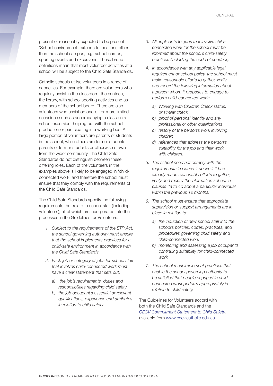present or reasonably expected to be present'. 'School environment' extends to locations other than the school campus, e.g. school camps, sporting events and excursions. These broad definitions mean that most volunteer activities at a school will be subject to the Child Safe Standards.

Catholic schools utilise volunteers in a range of capacities. For example, there are volunteers who regularly assist in the classroom, the canteen, the library, with school sporting activities and as members of the school board. There are also volunteers who assist on one-off or more limited occasions such as accompanying a class on a school excursion, helping out with the school production or participating in a working bee. A large portion of volunteers are parents of students in the school, while others are former students, parents of former students or otherwise drawn from the wider community. The Child Safe Standards do not distinguish between these differing roles. Each of the volunteers in the examples above is likely to be engaged in 'childconnected work' and therefore the school must ensure that they comply with the requirements of the Child Safe Standards.

The Child Safe Standards specify the following requirements that relate to school staff (including volunteers), all of which are incorporated into the processes in the Guidelines for Volunteers:

- *1. Subject to the requirements of the ETR Act, the school governing authority must ensure that the school implements practices for a child-safe environment in accordance with the Child Safe Standards.*
- *2. Each job or category of jobs for school staff that involves child-connected work must have a clear statement that sets out:* 
	- *a) the job's requirements, duties and responsibilities regarding child safety*
	- *b) the job occupant's essential or relevant qualifications, experience and attributes in relation to child safety.*
- *3. All applicants for jobs that involve childconnected work for the school must be informed about the school's child-safety practices (including the code of conduct).*
- *4. In accordance with any applicable legal requirement or school policy, the school must make reasonable efforts to gather, verify and record the following information about a person whom it proposes to engage to perform child-connected work:* 
	- *a) Working with Children Check status, or similar check*
	- *b) proof of personal identity and any professional or other qualifications*
	- *c) history of the person's work involving children*
	- *d) references that address the person's suitability for the job and their work with children.*
- *5. The school need not comply with the requirements in clause 4 above if it has already made reasonable efforts to gather, verify and record the information set out in clauses 4a to 4d about a particular individual within the previous 12 months.*
- *6. The school must ensure that appropriate supervision or support arrangements are in place in relation to:* 
	- *a) the induction of new school staff into the school's policies, codes, practices, and procedures governing child safety and child-connected work*
	- *b) monitoring and assessing a job occupant's continuing suitability for child-connected work.*
- *7. The school must implement practices that enable the school governing authority to be satisfied that people engaged in childconnected work perform appropriately in relation to child safety.*

The Guidelines for Volunteers accord with both the Child Safe Standards and the *[CECV Commitment Statement to Child Safety](http://www.cecv.catholic.edu.au/Our-Schools/Child-Safety)*, available from www.cecv.catholic.edu.au.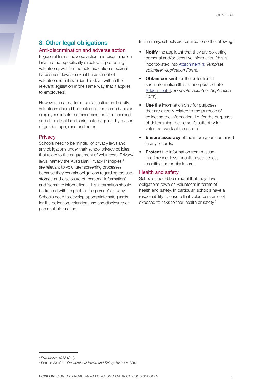## 3. Other legal obligations

#### Anti-discrimination and adverse action

In general terms, adverse action and discrimination laws are not specifically directed at protecting volunteers, with the notable exception of sexual harassment laws – sexual harassment of volunteers is unlawful (and is dealt with in the relevant legislation in the same way that it applies to employees).

However, as a matter of social justice and equity, volunteers should be treated on the same basis as employees insofar as discrimination is concerned, and should not be discriminated against by reason of gender, age, race and so on.

#### **Privacy**

Schools need to be mindful of privacy laws and any obligations under their school privacy policies that relate to the engagement of volunteers. Privacy laws, namely the Australian Privacy Principles,<sup>2</sup> are relevant to volunteer screening processes because they contain obligations regarding the use, storage and disclosure of 'personal information' and 'sensitive information'. This information should be treated with respect for the person's privacy. Schools need to develop appropriate safeguards for the collection, retention, use and disclosure of personal information.

In summary, schools are required to do the following:

- **Notify** the applicant that they are collecting personal and/or sensitive information (this is incorporated into [Attachment 4](http://www.cecv.catholic.edu.au/getmedia/46f5bf72-da0a-4100-9ef8-3f8ef8be8443/Attachment-4-Template-Volunteer-Application-Form.aspx): *Template Volunteer Application Form*).
- **Obtain consent** for the collection of such information (this is incorporated into [Attachment 4](http://www.cecv.catholic.edu.au/getmedia/46f5bf72-da0a-4100-9ef8-3f8ef8be8443/Attachment-4-Template-Volunteer-Application-Form.aspx): *Template Volunteer Application Form*).
- **Use** the information only for purposes that are directly related to the purpose of collecting the information, i.e. for the purposes of determining the person's suitability for volunteer work at the school.
- **Ensure accuracy** of the information contained in any records.
- **Protect** the information from misuse, interference, loss, unauthorised access, modification or disclosure.

#### Health and safety

Schools should be mindful that they have obligations towards volunteers in terms of health and safety. In particular, schools have a responsibility to ensure that volunteers are not exposed to risks to their health or safety.<sup>3</sup>

<sup>2</sup> *Privacy Act 1988* (Cth).

<sup>3</sup> Section 23 of the *Occupational Health and Safety Act 2004* (Vic.)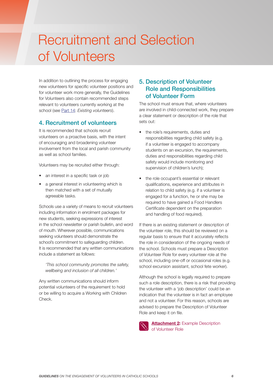# Recruitment and Selection of Volunteers

In addition to outlining the process for engaging new volunteers for specific volunteer positions and for volunteer work more generally, the Guidelines for Volunteers also contain recommended steps relevant to volunteers currently working at the school (see Part 14: *Existing volunteers*).

## 4. Recruitment of volunteers

It is recommended that schools recruit volunteers on a proactive basis, with the intent of encouraging and broadening volunteer involvement from the local and parish community as well as school families.

Volunteers may be recruited either through:

- an interest in a specific task or job
- a general interest in volunteering which is then matched with a set of mutually agreeable tasks.

Schools use a variety of means to recruit volunteers including information in enrolment packages for new students, seeking expressions of interest in the school newsletter or parish bulletin, and word of mouth. Wherever possible, communications seeking volunteers should demonstrate the school's commitment to safeguarding children. It is recommended that any written communications include a statement as follows:

*'This school community promotes the safety, wellbeing and inclusion of all children.'*

Any written communications should inform potential volunteers of the requirement to hold or be willing to acquire a Working with Children Check.

## 5. Description of Volunteer Role and Responsibilities of Volunteer Form

The school must ensure that, where volunteers are involved in child-connected work, they prepare a clear statement or description of the role that sets out:

- the role's requirements, duties and responsibilities regarding child safety (e.g. if a volunteer is engaged to accompany students on an excursion, the requirements, duties and responsibilities regarding child safety would include monitoring and supervision of children's lunch);
- the role occupant's essential or relevant qualifications, experience and attributes in relation to child safety (e.g. if a volunteer is engaged for a function, he or she may be required to have gained a Food Handlers Certificate dependent on the preparation and handling of food required).

If there is an existing statement or description of the volunteer role, this should be reviewed on a regular basis to ensure that it accurately reflects the role in consideration of the ongoing needs of the school. Schools must prepare a Description of Volunteer Role for every volunteer role at the school, including one-off or occasional roles (e.g. school excursion assistant, school fete worker).

Although the school is legally required to prepare such a role description, there is a risk that providing the volunteer with a 'job description' could be an indication that the volunteer is in fact an employee and not a volunteer. For this reason, schools are advised to prepare the Description of Volunteer Role and keep it on file.



**[Attachment 2](http://www.cecv.catholic.edu.au/getmedia/493043cf-6c96-47bf-9391-edfaac18db5e/Attachment-2-Example-Description-of-Volunteer-Role.aspx):** Example Description of Volunteer Role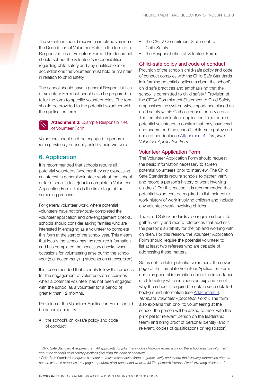The volunteer should receive a simplified version of the Description of Volunteer Role, in the form of a Responsibilities of Volunteer Form. This document should set out the volunteer's responsibilities regarding child safety and any qualifications or accreditations the volunteer must hold or maintain in relation to child safety.

The school should have a general Responsibilities of Volunteer Form but should also be prepared to tailor the form to specific volunteer roles. The form should be provided to the potential volunteer with the application form.



Volunteers should not be engaged to perform roles previously or usually held by paid workers.

## 6. Application

It is recommended that schools require all potential volunteers (whether they are expressing an interest in general volunteer work at the school or for a specific task/job) to complete a Volunteer Application Form. This is the first stage of the screening process.

For general volunteer work, where potential volunteers have not previously completed the volunteer application and pre-engagement checks, schools should consider asking families who are interested in engaging as a volunteer to complete this form at the start of the school year. This means that ideally the school has the required information and has completed the necessary checks when occasions for volunteering arise during the school year (e.g. accompanying students on an excursion).

It is recommended that schools follow this process for the engagement of volunteers on occasions when a potential volunteer has not been engaged with the school as a volunteer for a period of greater than 12 months.

Provision of the Volunteer Application Form should be accompanied by:

the school's child-safe policy and code of conduct

- the CECV Commitment Statement to Child Safety
- the Responsibilities of Volunteer Form.

#### Child-safe policy and code of conduct

Provision of the school's child-safe policy and code of conduct complies with the Child Safe Standards in informing potential applicants about the school's child safe practices and emphasising that the school is committed to child safety.<sup>4</sup> Provision of the CECV Commitment Statement to Child Safety emphasises the system-wide importance placed on child safety within Catholic education in Victoria. The template volunteer application form requires potential volunteers to confirm that they have read and understood the school's child-safe policy and code of conduct (see [Attachment 4](http://www.cecv.catholic.edu.au/getmedia/46f5bf72-da0a-4100-9ef8-3f8ef8be8443/Attachment-4-Template-Volunteer-Application-Form.aspx): *Template Volunteer Application Form*).

#### Volunteer Application Form

The Volunteer Application Form should request the basic information necessary to screen potential volunteers prior to interview. The Child Safe Standards require schools to gather, verify and record a person's history of work involving children.5 For this reason, it is recommended that potential volunteers be required to list their entire work history of work involving children and include any volunteer work involving children.

The Child Safe Standards also require schools to gather, verify and record references that address the person's suitability for the job and working with children. For this reason, the Volunteer Application Form should require the potential volunteer to list at least two referees who are capable of addressing these matters.

So as not to deter potential volunteers, the cover page of the Template Volunteer Application Form contains general information about the importance of child safety which includes an explanation of why the school is required to obtain such detailed background information (see [Attachment 4](http://www.cecv.catholic.edu.au/getmedia/46f5bf72-da0a-4100-9ef8-3f8ef8be8443/Attachment-4-Template-Volunteer-Application-Form.aspx): *Template Volunteer Application Form*). The form also explains that prior to volunteering at the school, the person will be asked to meet with the principal (or relevant person on the leadership team) and bring proof of personal identity (and if relevant, copies of qualifications or registration).

<sup>4</sup> Child Safe Standard 4 requires that: *'All applicants for jobs that involve child-connected work for the school must be informed about the school's child safety practices (including the code of conduct)'.*

<sup>5</sup> Child Safe Standard 4 *requires a school to 'make reasonable efforts to gather, verify and record the following information about a person whom it proposes to engage to perform child-connected work … (c) The person's history of work involving children …'*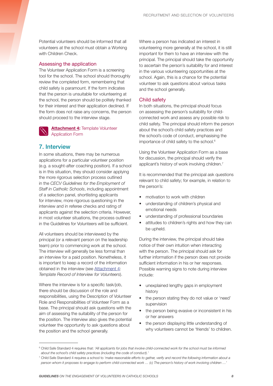Potential volunteers should be informed that all volunteers at the school must obtain a Working with Children Check.

#### Assessing the application

The Volunteer Application Form is a screening tool for the school. The school should thoroughly review the completed form, remembering that child safety is paramount. If the form indicates that the person is unsuitable for volunteering at the school, the person should be politely thanked for their interest and their application declined. If the form does not raise any concerns, the person should proceed to the interview stage.



#### 7. Interview

In some situations, there may be numerous applications for a particular volunteer position (e.g. a sought-after coaching position). If a school is in this situation, they should consider applying the more rigorous selection process outlined in the *CECV Guidelines for the Employment of Staff in Catholic Schools*, including appointment of a selection panel, shortlisting applicants for interview, more rigorous questioning in the interview and in referee checks and rating of applicants against the selection criteria. However, in most volunteer situations, the process outlined in the Guidelines for Volunteers will be sufficient.

All volunteers should be interviewed by the principal (or a relevant person on the leadership team) prior to commencing work at the school. The interview will generally be less formal than an interview for a paid position. Nonetheless, it is important to keep a record of the information obtained in the interview (see [Attachment 4](http://www.cecv.catholic.edu.au/getmedia/46f5bf72-da0a-4100-9ef8-3f8ef8be8443/Attachment-4-Template-Volunteer-Application-Form.aspx): *Template Record of Interview for Volunteers*).

Where the interview is for a specific task/job. there should be discussion of the role and responsibilities, using the Description of Volunteer Role and Responsibilities of Volunteer Form as a base. The principal should ask questions with the aim of assessing the suitability of the person for the position. The interview also gives the potential volunteer the opportunity to ask questions about the position and the school generally.

Where a person has indicated an interest in volunteering more generally at the school, it is still important for them to have an interview with the principal. The principal should take the opportunity to ascertain the person's suitability for and interest in the various volunteering opportunities at the school. Again, this is a chance for the potential volunteer to ask questions about various tasks and the school generally.

#### Child safety

In both situations, the principal should focus on assessing the person's suitability for childconnected work and assess any possible risk to child safety. The principal should inform the person about the school's child safety practices and the school's code of conduct, emphasising the importance of child safety to the school.<sup>6</sup>

Using the Volunteer Application Form as a base for discussion, the principal should verify the applicant's history of work involving children. $<sup>7</sup>$ </sup>

It is recommended that the principal ask questions relevant to child safety; for example, in relation to the person's:

- motivation to work with children
- understanding of children's physical and emotional needs
- understanding of professional boundaries
- attitudes to children's rights and how they can be upheld.

During the interview, the principal should take notice of their own intuition when interacting with the person. The principal should ask for further information if the person does not provide sufficient information in his or her responses. Possible warning signs to note during interview include:

- unexplained lengthy gaps in employment history
- the person stating they do not value or 'need' supervision
- the person being evasive or inconsistent in his or her answers
- the person displaying little understanding of why volunteers cannot be 'friends' to children.

<sup>&</sup>lt;sup>6</sup> Child Safe Standard 4 requires that: 'All applicants for jobs that involve child-connected work for the school must be informed *about the school's child safety practices (including the code of conduct).'*

<sup>7</sup> Child Safe Standard 4 requires a school to *'make reasonable efforts to gather, verify and record the following information about a person whom it proposes to engage to perform child-connected work … (c) The person's history of work involving children …'*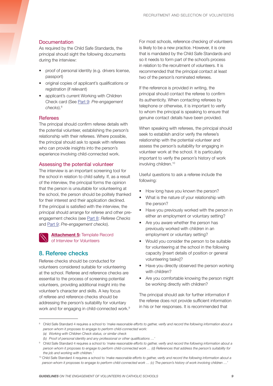#### **Documentation**

As required by the Child Safe Standards, the principal should sight the following documents during the interview:

- proof of personal identity (e.g. drivers license, passport)
- • original copies of applicant's qualifications or registration (if relevant)
- applicant's current Working with Children Check card (See Part 9: *Pre-engagement checks*).8

#### **Referees**

The principal should confirm referee details with the potential volunteer, establishing the person's relationship with their referees. Where possible, the principal should ask to speak with referees who can provide insights into the person's experience involving child-connected work.

#### Assessing the potential volunteer

The interview is an important screening tool for the school in relation to child safety. If, as a result of the interview, the principal forms the opinion that the person is unsuitable for volunteering at the school, the person should be politely thanked for their interest and their application declined. If the principal is satisfied with the interview, the principal should arrange for referee and other preengagement checks (see Part 8: *Referee Checks* and Part 9: *Pre-engagement checks*).

**[Attachment 5:](http://www.cecv.catholic.edu.au/getmedia/d433fd5a-035e-496a-a33a-7a3bcb93497b/Attachment-5-Template-Record-of-Interview-for-Volunteers.aspx) Template Record** of Interview for Volunteers

## 8. Referee checks

Referee checks should be conducted for volunteers considered suitable for volunteering at the school. Referee and reference checks are essential to the process of screening potential volunteers, providing additional insight into the volunteer's character and skills. A key focus of referee and reference checks should be addressing the person's suitability for voluntary work and for engaging in child-connected work.<sup>9</sup> For most schools, reference checking of volunteers is likely to be a new practice. However, it is one that is mandated by the Child Safe Standards and so it needs to form part of the school's process in relation to the recruitment of volunteers. It is recommended that the principal contact at least two of the person's nominated referees.

If the reference is provided in writing, the principal should contact the referee to confirm its authenticity. When contacting referees by telephone or otherwise, it is important to verify to whom the principal is speaking to ensure that genuine contact details have been provided.

When speaking with referees, the principal should seek to establish and/or verify the referee's relationship with the potential volunteer and assess the person's suitability for engaging in volunteer work at the school. It is particularly important to verify the person's history of work involving children.<sup>10</sup>

Useful questions to ask a referee include the following:

- How long have you known the person?
- What is the nature of your relationship with the person?
- Have you previously worked with the person in either an employment or voluntary setting?
- Are you aware whether the person has previously worked with children in an employment or voluntary setting?
- Would you consider the person to be suitable for volunteering at the school in the following capacity [insert details of position or general volunteering tasks]?
- Have you directly observed the person working with children?
- Are you comfortable knowing the person might be working directly with children?

The principal should ask for further information if the referee does not provide sufficient information in his or her responses. It is recommended that

<sup>&</sup>lt;sup>8</sup> Child Safe Standard 4 requires a school to 'make reasonable efforts to gather, verify and record the following information about a *person whom it proposes to engage to perform child-connected work: (a) Working with Children Check status, or similar check*

*<sup>(</sup>b) Proof of personal identity and any professional or other qualifications …'*

<sup>&</sup>lt;sup>9</sup> Child Safe Standard 4 requires a school to 'make reasonable efforts to gather, verify and record the following information about a *person whom it proposes to engage to perform child-connected work … (d) References that address the person's suitability for* 

*the job and working with children.'* <sup>10</sup> Child Safe Standard 4 requires a school to 'make reasonable efforts to gather, verify and record the following information about a *person whom it proposes to engage to perform child-connected work … (c) The person's history of work involving children …'*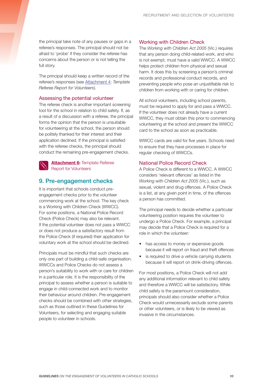the principal take note of any pauses or gaps in a referee's responses. The principal should not be afraid to 'probe' if they consider the referee has concerns about the person or is not telling the full story.

The principal should keep a written record of the referee's responses (see [Attachment 4](http://www.cecv.catholic.edu.au/getmedia/46f5bf72-da0a-4100-9ef8-3f8ef8be8443/Attachment-4-Template-Volunteer-Application-Form.aspx): *Template Referee Report for Volunteers*).

#### Assessing the potential volunteer

The referee check is another important screening tool for the school in relation to child safety. If, as a result of a discussion with a referee, the principal forms the opinion that the person is unsuitable for volunteering at the school, the person should be politely thanked for their interest and their application declined. If the principal is satisfied with the referee checks, the principal should conduct the remaining pre-engagement checks.

#### **[Attachment 6:](http://www.cecv.catholic.edu.au/getmedia/ecb70714-bc29-430c-98cd-847e4ce98816/Attachment-6-Example-Referee-Report-for-Volunteers.aspx)** Template Referee Report for Volunteers

### 9. Pre-engagement checks

It is important that schools conduct preengagement checks prior to the volunteer commencing work at the school. The key check is a Working with Children Check (WWCC). For some positions, a National Police Record Check (Police Check) may also be relevant. If the potential volunteer does not pass a WWCC or does not produce a satisfactory result from the Police Check (if required) their application for voluntary work at the school should be declined.

Principals must be mindful that such checks are only one part of building a child-safe organisation. WWCCs and Police Checks do not assess a person's suitability to work with or care for children in a particular role. It is the responsibility of the principal to assess whether a person is suitable to engage in child-connected work and to monitor their behaviour around children. Pre-engagement checks should be combined with other strategies, such as those outlined in these Guidelines for Volunteers, for selecting and engaging suitable people to volunteer in schools.

#### Working with Children Check

The *Working with Children Act 2005* (Vic.) requires that any person doing child-related work, and who is not exempt, must have a valid WWCC. A WWCC helps protect children from physical and sexual harm. It does this by screening a person's criminal records and professional conduct records, and preventing people who pose an unjustifiable risk to children from working with or caring for children.

All school volunteers, including school parents, must be required to apply for and pass a WWCC. If the volunteer does not already have a current WWCC, they must obtain this prior to commencing volunteering at the school and present the WWCC card to the school as soon as practicable.

WWCC cards are valid for five years. Schools need to ensure that they have processes in place for regular checking of WWCCs.

#### National Police Record Check

A Police Check is different to a WWCC. A WWCC considers 'relevant offences' as listed in the *Working with Children Act 2005* (Vic.), such as sexual, violent and drug offences. A Police Check is a list, at any given point in time, of the offences a person has committed.

The principal needs to decide whether a particular volunteering position requires the volunteer to undergo a Police Check. For example, a principal may decide that a Police Check is required for a role in which the volunteer:

- has access to money or expensive goods because it will report on fraud and theft offences
- is required to drive a vehicle carrying students because it will report on drink-driving offences.

For most positions, a Police Check will not add any additional information relevant to child safety and therefore a WWCC will be satisfactory. While child safety is the paramount consideration, principals should also consider whether a Police Check would unnecessarily exclude some parents or other volunteers, or is likely to be viewed as invasive in the circumstances.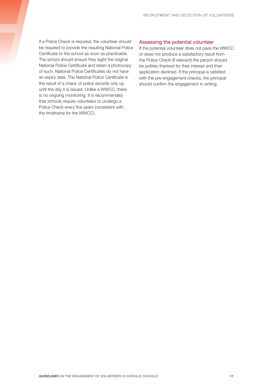If a Police Check is required, the volunteer should be required to provide the resulting National Police Certificate to the school as soon as practicable. The school should ensure they sight the original National Police Certificate and retain a photocopy of such. National Police Certificates do not have an expiry date. The National Police Certificate is the result of a check of police records only up until the day it is issued. Unlike a WWCC, there is no ongoing monitoring. It is recommended that schools require volunteers to undergo a Police Check every five years (consistent with the timeframe for the WWCC).

#### Assessing the potential volunteer

If the potential volunteer does not pass the WWCC or does not produce a satisfactory result from the Police Check (if relevant) the person should be politely thanked for their interest and their application declined. If the principal is satisfied with the pre-engagement checks, the principal should confirm the engagement in writing.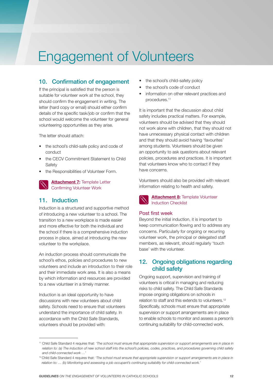# Engagement of Volunteers

## 10. Confirmation of engagement

If the principal is satisfied that the person is suitable for volunteer work at the school, they should confirm the engagement in writing. The letter (hard copy or email) should either confirm details of the specific task/job or confirm that the school would welcome the volunteer for general volunteering opportunities as they arise.

The letter should attach:

- the school's child-safe policy and code of conduct
- the CECV Commitment Statement to Child **Safety**
- the Responsibilities of Volunteer Form.



## 11. Induction

Induction is a structured and supportive method of introducing a new volunteer to a school. The transition to a new workplace is made easier and more effective for both the individual and the school if there is a comprehensive induction process in place, aimed at introducing the new volunteer to the workplace.

An induction process should communicate the school's ethos, policies and procedures to new volunteers and include an introduction to their role and their immediate work area. It is also a means by which information and resources are provided to a new volunteer in a timely manner.

Induction is an ideal opportunity to have discussions with new volunteers about child safety. Schools need to ensure that volunteers understand the importance of child safety. In accordance with the Child Safe Standards, volunteers should be provided with:

- the school's child-safety policy
- the school's code of conduct
- information on other relevant practices and procedures.11

It is important that the discussion about child safety includes practical matters. For example, volunteers should be advised that they should not work alone with children, that they should not have unnecessary physical contact with children and that they should avoid having 'favourites' among students. Volunteers should be given an opportunity to ask questions about relevant policies, procedures and practices. It is important that volunteers know who to contact if they have concerns.

Volunteers should also be provided with relevant information relating to health and safety.



#### **[Attachment 8](http://www.cecv.catholic.edu.au/getmedia/c8ffbd77-ab5b-4265-938b-2c163b7276e3/Attachment-8-Template-Induction-Volunteer-Checklist.aspx):** Template Volunteer Induction Checklist

#### Post first week

Beyond the initial induction, it is important to keep communication flowing and to address any concerns. Particularly for ongoing or recurring volunteer work, the principal or delegated staff members, as relevant, should regularly 'touch base' with the volunteer.

## 12. Ongoing obligations regarding child safety

Ongoing support, supervision and training of volunteers is critical in managing and reducing risks to child safety. The Child Safe Standards impose ongoing obligations on schools in relation to staff and this extends to volunteers.<sup>12</sup> Specifically, schools must ensure that appropriate supervision or support arrangements are in place to enable schools to monitor and assess a person's continuing suitability for child-connected work.

<sup>&</sup>lt;sup>11</sup> Child Safe Standard 4 requires that: 'The school must ensure that appropriate supervision or support arrangements are in place in *relation to: (a) The induction of new school staff into the school's policies, codes, practices, and procedures governing child safety and child-connected work …'*

<sup>&</sup>lt;sup>12</sup> Child Safe Standard 4 requires that: 'The school must ensure that appropriate supervision or support arrangements are in place in *relation to: … (b) Monitoring and assessing a job occupant's continuing suitability for child-connected work.'*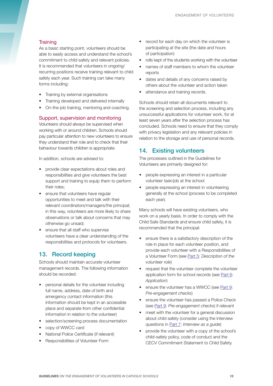#### **Training**

As a basic starting point, volunteers should be able to easily access and understand the school's commitment to child safety and relevant policies. It is recommended that volunteers in ongoing/ recurring positions receive training relevant to child safety each year. Such training can take many forms including:

- Training by external organisations
- Training developed and delivered internally
- On-the-job training, mentoring and coaching.

#### Support, supervision and monitoring

Volunteers should always be supervised when working with or around children. Schools should pay particular attention to new volunteers to ensure they understand their role and to check that their behaviour towards children is appropriate.

In addition, schools are advised to:

- provide clear expectations about roles and responsibilities and give volunteers the best support and training to equip them to perform their roles;
- ensure that volunteers have regular opportunities to meet and talk with their relevant coordinators/managers/the principal; in this way, volunteers are more likely to share observations or talk about concerns that may otherwise go unsaid;
- ensure that all staff who supervise volunteers have a clear understanding of the responsibilities and protocols for volunteers.

## 13. Record keeping

Schools should maintain accurate volunteer management records. The following information should be recorded:

- personal details for the volunteer including full name, address, date of birth and emergency contact information (this information should be kept in an accessible place and separate from other confidential information in relation to the volunteer)
- selection/screening process documentation
- copy of WWCC card
- National Police Certificate (if relevant)
- Responsibilities of Volunteer Form
- record for each day on which the volunteer is participating at the site (the date and hours of participation)
- rolls kept of the students working with the volunteer
- names of staff members to whom the volunteer reports
- dates and details of any concerns raised by others about the volunteer and action taken
- attendance and training records.

Schools should retain all documents relevant to the screening and selection process, including any unsuccessful applications for volunteer work, for at least seven years after the selection process has concluded. Schools need to ensure that they comply with privacy legislation and any relevant policies in relation to the storage and use of personal records.

### 14. Existing volunteers

The processes outlined in the Guidelines for Volunteers are primarily designed for:

- people expressing an interest in a particular volunteer task/job at the school
- people expressing an interest in volunteering generally at the school (process to be completed each year).

Many schools will have existing volunteers, who work on a yearly basis. In order to comply with the Child Safe Standards and ensure child safety, it is recommended that the principal:

- ensure there is a satisfactory description of the role in place for each volunteer position, and provide each volunteer with a Responsibilities of a Volunteer Form (see Part 5: *Description of the volunteer role*)
- request that the volunteer complete the volunteer application form for school records (see Part 6: *Application*)
- ensure the volunteer has a WWCC (see Part 9: *Pre-engagement checks*)
- ensure the volunteer has passed a Police Check (see Part 9: *Pre-engagement checks*) if relevant
- meet with the volunteer for a general discussion about child safety (consider using the interview questions in Part 7: *Interview as a guide*)
- provide the volunteer with a copy of the school's child-safety policy, code of conduct and the CECV Commitment Statement to Child Safety.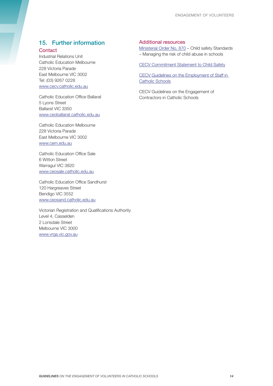## 15. Further information

#### **Contact**

Industrial Relations Unit Catholic Education Melbourne 228 Victoria Parade East Melbourne VIC 3002 Tel: (03) 9267 0228 www.cecv.catholic.edu.au

Catholic Education Office Ballarat 5 Lyons Street Ballarat VIC 3350 www.ceoballarat.catholic.edu.au

Catholic Education Melbourne 228 Victoria Parade East Melbourne VIC 3002 www.cem.edu.au

Catholic Education Office Sale 6 Witton Street Warragul VIC 3820 www.ceosale.catholic.edu.au

Catholic Education Office Sandhurst 120 Hargreaves Street Bendigo VIC 3552 www.ceosand.catholic.edu.au

Victorian Registration and Qualifications Authority Level 4, Casselden 2 Lonsdale Street Melbourne VIC 3000 www.vrqa.vic.gov.au

#### Additional resources

[Ministerial Order No. 870](http://www.gazette.vic.gov.au/gazette/Gazettes2016/GG2016S002.pdf) – Child safety Standards – Managing the risk of child abuse in schools

[CECV Commitment Statement to Child Safety](http://www.cecv.catholic.edu.au/Our-Schools/Child-Safety)

CECV Guidelines on the [Employment](http://www.cecv.catholic.edu.au/getmedia/c38fc6e9-4391-4c3c-a083-a113aecee14e/Employment-Guidelines.aspx) of Staff in [Catholic Schools](http://www.cecv.catholic.edu.au/getmedia/c38fc6e9-4391-4c3c-a083-a113aecee14e/Employment-Guidelines.aspx)

CECV Guidelines on the Engagement of Contractors in Catholic Schools